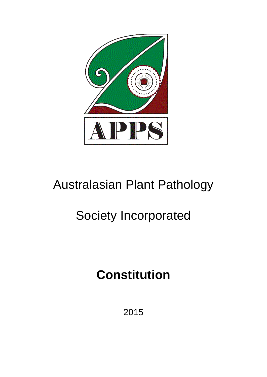

# Australasian Plant Pathology

# Society Incorporated

# **Constitution**

2015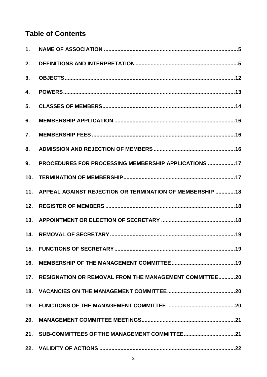# **Table of Contents**

| 2.              |                                                               |
|-----------------|---------------------------------------------------------------|
| 3.              |                                                               |
| 4.              |                                                               |
| 5.              |                                                               |
| 6.              |                                                               |
| 7.              |                                                               |
| 8.              |                                                               |
| 9.              | PROCEDURES FOR PROCESSING MEMBERSHIP APPLICATIONS 17          |
| 10 <sub>1</sub> |                                                               |
|                 | 11. APPEAL AGAINST REJECTION OR TERMINATION OF MEMBERSHIP  18 |
| 12.             |                                                               |
|                 |                                                               |
| 14.             |                                                               |
|                 |                                                               |
| 16.             |                                                               |
|                 | 17. RESIGNATION OR REMOVAL FROM THE MANAGEMENT COMMITTEE20    |
|                 |                                                               |
|                 |                                                               |
|                 |                                                               |
|                 |                                                               |
|                 |                                                               |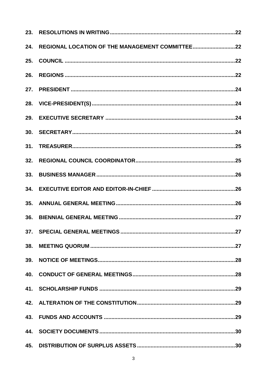| 24. |  |
|-----|--|
| 25. |  |
| 26. |  |
|     |  |
|     |  |
|     |  |
|     |  |
|     |  |
| 32. |  |
| 33. |  |
|     |  |
| 35. |  |
| 36. |  |
|     |  |
| 38. |  |
|     |  |
|     |  |
|     |  |
|     |  |
|     |  |
|     |  |
|     |  |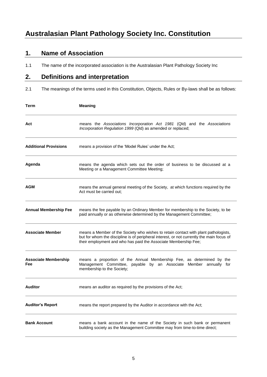# <span id="page-4-0"></span>**1. Name of Association**

1.1 The name of the incorporated association is the Australasian Plant Pathology Society Inc

# <span id="page-4-1"></span>**2. Definitions and interpretation**

2.1 The meanings of the terms used in this Constitution, Objects, Rules or By-laws shall be as follows:

| Term                               | <b>Meaning</b>                                                                                                                                                                                                                                      |
|------------------------------------|-----------------------------------------------------------------------------------------------------------------------------------------------------------------------------------------------------------------------------------------------------|
| Act                                | means the Associations Incorporation Act 1981 (Qld) and the Associations<br>Incorporation Regulation 1999 (Qld) as amended or replaced;                                                                                                             |
| <b>Additional Provisions</b>       | means a provision of the 'Model Rules' under the Act;                                                                                                                                                                                               |
| Agenda                             | means the agenda which sets out the order of business to be discussed at a<br>Meeting or a Management Committee Meeting;                                                                                                                            |
| AGM                                | means the annual general meeting of the Society, at which functions required by the<br>Act must be carried out:                                                                                                                                     |
| <b>Annual Membership Fee</b>       | means the fee payable by an Ordinary Member for membership to the Society, to be<br>paid annually or as otherwise determined by the Management Committee;                                                                                           |
| <b>Associate Member</b>            | means a Member of the Society who wishes to retain contact with plant pathologists,<br>but for whom the discipline is of peripheral interest, or not currently the main focus of<br>their employment and who has paid the Associate Membership Fee; |
| <b>Associate Membership</b><br>Fee | means a proportion of the Annual Membership Fee, as determined by the<br>Management Committee, payable by an Associate Member annually for<br>membership to the Society;                                                                            |
| <b>Auditor</b>                     | means an auditor as required by the provisions of the Act;                                                                                                                                                                                          |
| <b>Auditor's Report</b>            | means the report prepared by the Auditor in accordance with the Act;                                                                                                                                                                                |
| <b>Bank Account</b>                | means a bank account in the name of the Society in such bank or permanent<br>building society as the Management Committee may from time-to-time direct;                                                                                             |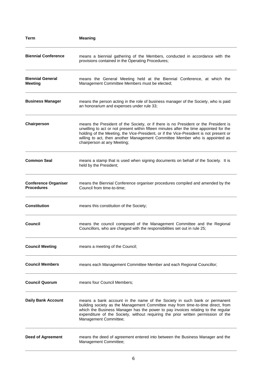| Term                                             | <b>Meaning</b>                                                                                                                                                                                                                                                                                                                                                                          |
|--------------------------------------------------|-----------------------------------------------------------------------------------------------------------------------------------------------------------------------------------------------------------------------------------------------------------------------------------------------------------------------------------------------------------------------------------------|
| <b>Biennial Conference</b>                       | means a biennial gathering of the Members, conducted in accordance with the<br>provisions contained in the Operating Procedures;                                                                                                                                                                                                                                                        |
| <b>Biennial General</b><br><b>Meeting</b>        | means the General Meeting held at the Biennial Conference, at which the<br>Management Committee Members must be elected;                                                                                                                                                                                                                                                                |
| <b>Business Manager</b>                          | means the person acting in the role of business manager of the Society, who is paid<br>an honorarium and expenses under rule 33;                                                                                                                                                                                                                                                        |
| Chairperson                                      | means the President of the Society, or if there is no President or the President is<br>unwilling to act or not present within fifteen minutes after the time appointed for the<br>holding of the Meeting, the Vice-President, or if the Vice-President is not present or<br>willing to act, then another Management Committee Member who is appointed as<br>chairperson at any Meeting; |
| <b>Common Seal</b>                               | means a stamp that is used when signing documents on behalf of the Society. It is<br>held by the President;                                                                                                                                                                                                                                                                             |
| <b>Conference Organiser</b><br><b>Procedures</b> | means the Biennial Conference organiser procedures compiled and amended by the<br>Council from time-to-time;                                                                                                                                                                                                                                                                            |
| <b>Constitution</b>                              | means this constitution of the Society;                                                                                                                                                                                                                                                                                                                                                 |
| Council                                          | means the council composed of the Management Committee and the Regional<br>Councillors, who are charged with the responsibilities set out in rule 25;                                                                                                                                                                                                                                   |
| <b>Council Meeting</b>                           | means a meeting of the Council;                                                                                                                                                                                                                                                                                                                                                         |
| <b>Council Members</b>                           | means each Management Committee Member and each Regional Councillor;                                                                                                                                                                                                                                                                                                                    |
| <b>Council Quorum</b>                            | means four Council Members;                                                                                                                                                                                                                                                                                                                                                             |
| <b>Daily Bank Account</b>                        | means a bank account in the name of the Society in such bank or permanent<br>building society as the Management Committee may from time-to-time direct, from<br>which the Business Manager has the power to pay invoices relating to the regular<br>expenditure of the Society, without requiring the prior written permission of the<br>Management Committee;                          |
| <b>Deed of Agreement</b>                         | means the deed of agreement entered into between the Business Manager and the<br>Management Committee;                                                                                                                                                                                                                                                                                  |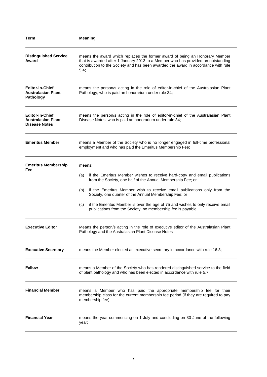| Term                                                                        | <b>Meaning</b>                                                                                                                                                                                                                                                                                                                                                                                                                                               |
|-----------------------------------------------------------------------------|--------------------------------------------------------------------------------------------------------------------------------------------------------------------------------------------------------------------------------------------------------------------------------------------------------------------------------------------------------------------------------------------------------------------------------------------------------------|
| <b>Distinguished Service</b><br>Award                                       | means the award which replaces the former award of being an Honorary Member<br>that is awarded after 1 January 2013 to a Member who has provided an outstanding<br>contribution to the Society and has been awarded the award in accordance with rule<br>5.4;                                                                                                                                                                                                |
| <b>Editor-in-Chief</b><br><b>Australasian Plant</b><br>Pathology            | means the person/s acting in the role of editor-in-chief of the Australasian Plant<br>Pathology, who is paid an honorarium under rule 34;                                                                                                                                                                                                                                                                                                                    |
| <b>Editor-in-Chief</b><br><b>Australasian Plant</b><br><b>Disease Notes</b> | means the person/s acting in the role of editor-in-chief of the Australasian Plant<br>Disease Notes, who is paid an honorarium under rule 34;                                                                                                                                                                                                                                                                                                                |
| <b>Emeritus Member</b>                                                      | means a Member of the Society who is no longer engaged in full-time professional<br>employment and who has paid the Emeritus Membership Fee;                                                                                                                                                                                                                                                                                                                 |
| <b>Emeritus Membership</b><br>Fee                                           | means:<br>if the Emeritus Member wishes to receive hard-copy and email publications<br>(a)<br>from the Society, one half of the Annual Membership Fee; or<br>if the Emeritus Member wish to receive email publications only from the<br>(b)<br>Society, one quarter of the Annual Membership Fee; or<br>if the Emeritus Member is over the age of 75 and wishes to only receive email<br>(c)<br>publications from the Society, no membership fee is payable. |
| <b>Executive Editor</b>                                                     | Means the person/s acting in the role of executive editor of the Australasian Plant<br>Pathology and the Australasian Plant Disease Notes                                                                                                                                                                                                                                                                                                                    |
| <b>Executive Secretary</b>                                                  | means the Member elected as executive secretary in accordance with rule 16.3;                                                                                                                                                                                                                                                                                                                                                                                |
| <b>Fellow</b>                                                               | means a Member of the Society who has rendered distinguished service to the field<br>of plant pathology and who has been elected in accordance with rule 5.7;                                                                                                                                                                                                                                                                                                |
| <b>Financial Member</b>                                                     | means a Member who has paid the appropriate membership fee for their<br>membership class for the current membership fee period (if they are required to pay<br>membership fee);                                                                                                                                                                                                                                                                              |
| <b>Financial Year</b>                                                       | means the year commencing on 1 July and concluding on 30 June of the following<br>year;                                                                                                                                                                                                                                                                                                                                                                      |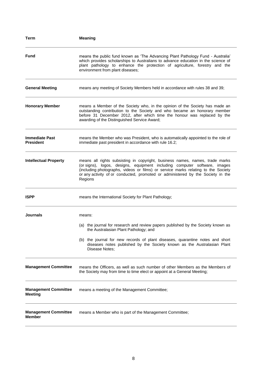| Term                                          | <b>Meaning</b>                                                                                                                                                                                                                                                                                                                               |
|-----------------------------------------------|----------------------------------------------------------------------------------------------------------------------------------------------------------------------------------------------------------------------------------------------------------------------------------------------------------------------------------------------|
| <b>Fund</b>                                   | means the public fund known as 'The Advancing Plant Pathology Fund - Australia'<br>which provides scholarships to Australians to advance education in the science of<br>plant pathology to enhance the protection of agriculture, forestry and the<br>environment from plant diseases;                                                       |
| <b>General Meeting</b>                        | means any meeting of Society Members held in accordance with rules 38 and 39;                                                                                                                                                                                                                                                                |
| <b>Honorary Member</b>                        | means a Member of the Society who, in the opinion of the Society has made an<br>outstanding contribution to the Society and who became an honorary member<br>before 31 December 2012, after which time the honour was replaced by the<br>awarding of the Distinguished Service Award;                                                        |
| <b>Immediate Past</b><br><b>President</b>     | means the Member who was President, who is automatically appointed to the role of<br>immediate past president in accordance with rule 16.2;                                                                                                                                                                                                  |
| <b>Intellectual Property</b>                  | means all rights subsisting in copyright, business names, names, trade marks<br>(or signs), logos, designs, equipment including computer software, images<br>(including photographs, videos or films) or service marks relating to the Society<br>or any activity of or conducted, promoted or administered by the Society in the<br>Regions |
| <b>ISPP</b>                                   | means the International Society for Plant Pathology;                                                                                                                                                                                                                                                                                         |
| Journals                                      | means:<br>(a) the journal for research and review papers published by the Society known as<br>the Australasian Plant Pathology; and<br>(b) the journal for new records of plant diseases, quarantine notes and short<br>diseases notes published by the Society known as the Australasian Plant<br>Disease Notes;                            |
| <b>Management Committee</b>                   | means the Officers, as well as such number of other Members as the Members of<br>the Society may from time to time elect or appoint at a General Meeting;                                                                                                                                                                                    |
| <b>Management Committee</b><br><b>Meeting</b> | means a meeting of the Management Committee;                                                                                                                                                                                                                                                                                                 |
| <b>Management Committee</b><br><b>Member</b>  | means a Member who is part of the Management Committee;                                                                                                                                                                                                                                                                                      |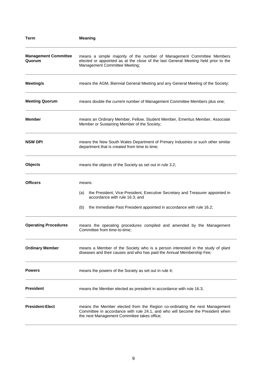| Term                                  | <b>Meaning</b>                                                                                                                                                                                              |
|---------------------------------------|-------------------------------------------------------------------------------------------------------------------------------------------------------------------------------------------------------------|
| <b>Management Committee</b><br>Quorum | means a simple majority of the number of Management Committee Members<br>elected or appointed as at the close of the last General Meeting held prior to the<br>Management Committee Meeting;                |
| Meeting/s                             | means the AGM, Biennial General Meeting and any General Meeting of the Society;                                                                                                                             |
| <b>Meeting Quorum</b>                 | means double the current number of Management Committee Members plus one;                                                                                                                                   |
| <b>Member</b>                         | means an Ordinary Member, Fellow, Student Member, Emeritus Member, Associate<br>Member or Sustaining Member of the Society;                                                                                 |
| <b>NSW DPI</b>                        | means the New South Wales Department of Primary Industries or such other similar<br>department that is created from time to time;                                                                           |
| <b>Objects</b>                        | means the objects of the Society as set out in rule 3.2;                                                                                                                                                    |
| <b>Officers</b>                       | means:                                                                                                                                                                                                      |
|                                       | the President, Vice-President, Executive Secretary and Treasurer appointed in<br>(a)<br>accordance with rule 16.3; and                                                                                      |
|                                       | the Immediate Past President appointed in accordance with rule 16.2;<br>(b)                                                                                                                                 |
| <b>Operating Procedures</b>           | means the operating procedures compiled and amended by the Management<br>Committee from time-to-time;                                                                                                       |
| <b>Ordinary Member</b>                | means a Member of the Society who is a person interested in the study of plant<br>diseases and their causes and who has paid the Annual Membership Fee;                                                     |
| <b>Powers</b>                         | means the powers of the Society as set out in rule 4;                                                                                                                                                       |
| <b>President</b>                      | means the Member elected as president in accordance with rule 16.3;                                                                                                                                         |
| <b>President-Elect</b>                | means the Member elected from the Region co-ordinating the next Management<br>Committee in accordance with rule 24.1, and who will become the President when<br>the next Management Committee takes office; |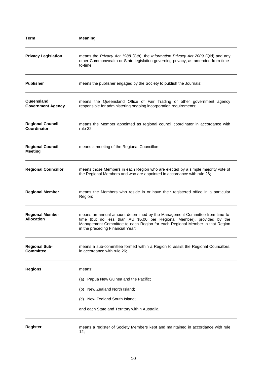| Term                                          | <b>Meaning</b>                                                                                                                                                                                                                                                           |
|-----------------------------------------------|--------------------------------------------------------------------------------------------------------------------------------------------------------------------------------------------------------------------------------------------------------------------------|
| <b>Privacy Legislation</b>                    | means the Privacy Act 1988 (Cth), the Information Privacy Act 2009 (Qld) and any<br>other Commonwealth or State legislation governing privacy, as amended from time-<br>to-time:                                                                                         |
| <b>Publisher</b>                              | means the publisher engaged by the Society to publish the Journals;                                                                                                                                                                                                      |
| Queensland<br><b>Government Agency</b>        | means the Queensland Office of Fair Trading or other government agency<br>responsible for administering ongoing incorporation requirements;                                                                                                                              |
| <b>Regional Council</b><br><b>Coordinator</b> | means the Member appointed as regional council coordinator in accordance with<br>rule 32;                                                                                                                                                                                |
| <b>Regional Council</b><br><b>Meeting</b>     | means a meeting of the Regional Councillors;                                                                                                                                                                                                                             |
| <b>Regional Councillor</b>                    | means those Members in each Region who are elected by a simple majority vote of<br>the Regional Members and who are appointed in accordance with rule 26;                                                                                                                |
| <b>Regional Member</b>                        | means the Members who reside in or have their registered office in a particular<br>Region;                                                                                                                                                                               |
| <b>Regional Member</b><br><b>Allocation</b>   | means an annual amount determined by the Management Committee from time-to-<br>time (but no less than AU \$5.00 per Regional Member), provided by the<br>Management Committee to each Region for each Regional Member in that Region<br>in the preceding Financial Year; |
| <b>Regional Sub-</b><br><b>Committee</b>      | means a sub-committee formed within a Region to assist the Regional Councillors,<br>in accordance with rule 26;                                                                                                                                                          |
| <b>Regions</b>                                | means:                                                                                                                                                                                                                                                                   |
|                                               | (a) Papua New Guinea and the Pacific;                                                                                                                                                                                                                                    |
|                                               | New Zealand North Island;<br>(b)                                                                                                                                                                                                                                         |
|                                               | (c) New Zealand South Island;                                                                                                                                                                                                                                            |
|                                               | and each State and Territory within Australia;                                                                                                                                                                                                                           |
| Register                                      | means a register of Society Members kept and maintained in accordance with rule<br>12;                                                                                                                                                                                   |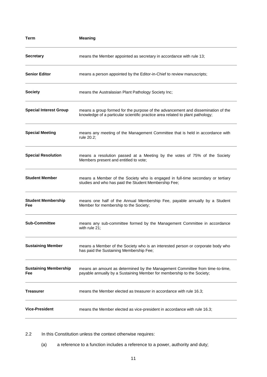| Term                                | <b>Meaning</b>                                                                                                                                                     |
|-------------------------------------|--------------------------------------------------------------------------------------------------------------------------------------------------------------------|
| <b>Secretary</b>                    | means the Member appointed as secretary in accordance with rule 13;                                                                                                |
| <b>Senior Editor</b>                | means a person appointed by the Editor-in-Chief to review manuscripts;                                                                                             |
| <b>Society</b>                      | means the Australasian Plant Pathology Society Inc;                                                                                                                |
| <b>Special Interest Group</b>       | means a group formed for the purpose of the advancement and dissemination of the<br>knowledge of a particular scientific practice area related to plant pathology; |
| <b>Special Meeting</b>              | means any meeting of the Management Committee that is held in accordance with<br>rule 20.2;                                                                        |
| <b>Special Resolution</b>           | means a resolution passed at a Meeting by the votes of 75% of the Society<br>Members present and entitled to vote;                                                 |
| <b>Student Member</b>               | means a Member of the Society who is engaged in full-time secondary or tertiary<br>studies and who has paid the Student Membership Fee;                            |
| <b>Student Membership</b><br>Fee    | means one half of the Annual Membership Fee, payable annually by a Student<br>Member for membership to the Society;                                                |
| <b>Sub-Committee</b>                | means any sub-committee formed by the Management Committee in accordance<br>with rule 21;                                                                          |
| <b>Sustaining Member</b>            | means a Member of the Society who is an interested person or corporate body who<br>has paid the Sustaining Membership Fee;                                         |
| <b>Sustaining Membership</b><br>Fee | means an amount as determined by the Management Committee from time-to-time,<br>payable annually by a Sustaining Member for membership to the Society;             |
| Treasurer                           | means the Member elected as treasurer in accordance with rule 16.3;                                                                                                |
| <b>Vice-President</b>               | means the Member elected as vice-president in accordance with rule 16.3;                                                                                           |

2.2 In this Constitution unless the context otherwise requires:

(a) a reference to a function includes a reference to a power, authority and duty;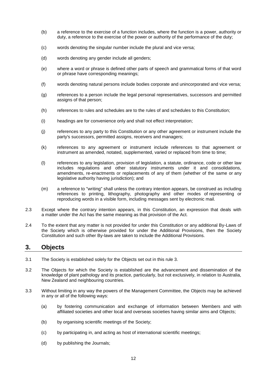- (b) a reference to the exercise of a function includes, where the function is a power, authority or duty, a reference to the exercise of the power or authority of the performance of the duty;
- (c) words denoting the singular number include the plural and vice versa;
- (d) words denoting any gender include all genders;
- (e) where a word or phrase is defined other parts of speech and grammatical forms of that word or phrase have corresponding meanings;
- (f) words denoting natural persons include bodies corporate and unincorporated and vice versa;
- (g) references to a person include the legal personal representatives, successors and permitted assigns of that person;
- (h) references to rules and schedules are to the rules of and schedules to this Constitution;
- (i) headings are for convenience only and shall not effect interpretation;
- (j) references to any party to this Constitution or any other agreement or instrument include the party's successors, permitted assigns, receivers and managers;
- (k) references to any agreement or instrument include references to that agreement or instrument as amended, notated, supplemented, varied or replaced from time to time;
- (l) references to any legislation, provision of legislation, a statute, ordinance, code or other law includes regulations and other statutory instruments under it and consolidations, amendments, re-enactments or replacements of any of them (whether of the same or any legislative authority having jurisdiction); and
- (m) a reference to "writing" shall unless the contrary intention appears, be construed as including references to printing, lithography, photography and other modes of representing or reproducing words in a visible form, including messages sent by electronic mail.
- 2.3 Except where the contrary intention appears, in this Constitution, an expression that deals with a matter under the Act has the same meaning as that provision of the Act.
- 2.4 To the extent that any matter is not provided for under this Constitution or any additional By-Laws of the Society which is otherwise provided for under the Additional Provisions, then the Society Constitution and such other By-laws are taken to include the Additional Provisions.

#### <span id="page-11-0"></span>**3. Objects**

- 3.1 The Society is established solely for the Objects set out in this rule 3.
- 3.2 The Objects for which the Society is established are the advancement and dissemination of the knowledge of plant pathology and its practice, particularly, but not exclusively, in relation to Australia, New Zealand and neighbouring countries.
- 3.3 Without limiting in any way the powers of the Management Committee, the Objects may be achieved in any or all of the following ways:
	- (a) by fostering communication and exchange of information between Members and with affiliated societies and other local and overseas societies having similar aims and Objects;
	- (b) by organising scientific meetings of the Society;
	- (c) by participating in, and acting as host of international scientific meetings;
	- (d) by publishing the Journals;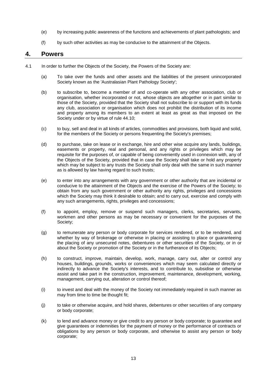- (e) by increasing public awareness of the functions and achievements of plant pathologists; and
- (f) by such other activities as may be conducive to the attainment of the Objects.

#### <span id="page-12-0"></span>**4. Powers**

- 4.1 In order to further the Objects of the Society, the Powers of the Society are:
	- (a) To take over the funds and other assets and the liabilities of the present unincorporated Society known as the 'Australasian Plant Pathology Society';
	- (b) to subscribe to, become a member of and co-operate with any other association, club or organisation, whether incorporated or not, whose objects are altogether or in part similar to those of the Society, provided that the Society shall not subscribe to or support with its funds any club, association or organisation which does not prohibit the distribution of its income and property among its members to an extent at least as great as that imposed on the Society under or by virtue of rule 44.10;
	- (c) to buy, sell and deal in all kinds of articles, commodities and provisions, both liquid and solid, for the members of the Society or persons frequenting the Society's premises;
	- (d) to purchase, take on lease or in exchange, hire and other wise acquire any lands, buildings, easements or property, real and personal, and any rights or privileges which may be requisite for the purposes of, or capable of being conveniently used in connexion with, any of the Objects of the Society, provided that in case the Society shall take or hold any property which may be subject to any trusts the Society shall only deal with the same in such manner as is allowed by law having regard to such trusts;
	- (e) to enter into any arrangements with any government or other authority that are incidental or conducive to the attainment of the Objects and the exercise of the Powers of the Society; to obtain from any such government or other authority any rights, privileges and concessions which the Society may think it desirable to obtain; and to carry out, exercise and comply with any such arrangements, rights, privileges and concessions;
	- (f) to appoint, employ, remove or suspend such managers, clerks, secretaries, servants, workmen and other persons as may be necessary or convenient for the purposes of the Society;
	- (g) to remunerate any person or body corporate for services rendered, or to be rendered, and whether by way of brokerage or otherwise in placing or assisting to place or guaranteeing the placing of any unsecured notes, debentures or other securities of the Society, or in or about the Society or promotion of the Society or in the furtherance of its Objects;
	- (h) to construct, improve, maintain, develop, work, manage, carry out, alter or control any houses, buildings, grounds, works or conveniences which may seem calculated directly or indirectly to advance the Society's interests, and to contribute to, subsidise or otherwise assist and take part in the construction, improvement, maintenance, development, working, management, carrying out, alteration or control thereof;
	- (i) to invest and deal with the money of the Society not immediately required in such manner as may from time to time be thought fit;
	- (j) to take or otherwise acquire, and hold shares, debentures or other securities of any company or body corporate;
	- (k) to lend and advance money or give credit to any person or body corporate; to guarantee and give guarantees or indemnities for the payment of money or the performance of contracts or obligations by any person or body corporate, and otherwise to assist any person or body corporate;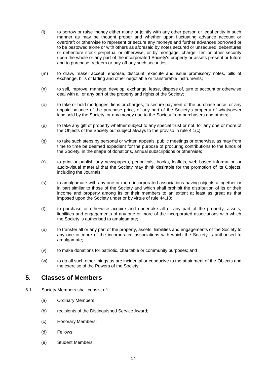- (l) to borrow or raise money either alone or jointly with any other person or legal entity in such manner as may be thought proper and whether upon fluctuating advance account or overdraft or otherwise to represent or secure any moneys and further advances borrowed or to be bestowed alone or with others as aforesaid by notes secured or unsecured, debentures or debenture stock perpetual or otherwise, or by mortgage, charge, lien or other security upon the whole or any part of the incorporated Society's property or assets present or future and to purchase, redeem or pay-off any such securities;
- (m) to draw, make, accept, endorse, discount, execute and issue promissory notes, bills of exchange, bills of lading and other negotiable or transferable instruments;
- (n) to sell, improve, manage, develop, exchange, lease, dispose of, turn to account or otherwise deal with all or any part of the property and rights of the Society;
- (o) to take or hold mortgages, liens or charges, to secure payment of the purchase price, or any unpaid balance of the purchase price, of any part of the Society's property of whatsoever kind sold by the Society, or any money due to the Society from purchasers and others;
- (p) to take any gift of property whether subject to any special trust or not, for any one or more of the Objects of the Society but subject always to the proviso in rule 4.1(c);
- (q) to take such steps by personal or written appeals, public meetings or otherwise, as may from time to time be deemed expedient for the purpose of procuring contributions to the funds of the Society, in the shape of donations, annual subscriptions or otherwise;
- (r) to print or publish any newspapers, periodicals, books, leaflets, web-based information or audio-visual material that the Society may think desirable for the promotion of its Objects, including the Journals;
- (s) to amalgamate with any one or more incorporated associations having objects altogether or in part similar to those of the Society and which shall prohibit the distribution of its or their income and property among its or their members to an extent at least as great as that imposed upon the Society under or by virtue of rule 44.10;
- (t) to purchase or otherwise acquire and undertake all or any part of the property, assets, liabilities and engagements of any one or more of the incorporated associations with which the Society is authorised to amalgamate;
- (u) to transfer all or any part of the property, assets, liabilities and engagements of the Society to any one or more of the incorporated associations with which the Society is authorised to amalgamate;
- (v) to make donations for patriotic, charitable or community purposes; and
- (w) to do all such other things as are incidental or conducive to the attainment of the Objects and the exercise of the Powers of the Society.

#### <span id="page-13-0"></span>**5. Classes of Members**

- 5.1 Society Members shall consist of:
	- (a) Ordinary Members;
	- (b) recipients of the Distinguished Service Award;
	- (c) Honorary Members;
	- (d) Fellows;
	- (e) Student Members;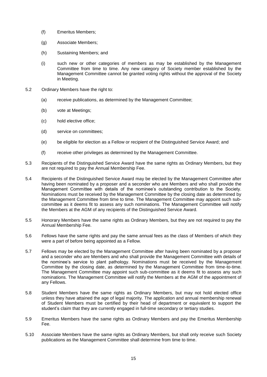- (f) Emeritus Members;
- (g) Associate Members;
- (h) Sustaining Members; and
- (i) such new or other categories of members as may be established by the Management Committee from time to time. Any new category of Society member established by the Management Committee cannot be granted voting rights without the approval of the Society in Meeting.
- 5.2 Ordinary Members have the right to:
	- (a) receive publications, as determined by the Management Committee;
	- (b) vote at Meetings;
	- (c) hold elective office;
	- (d) service on committees;
	- (e) be eligible for election as a Fellow or recipient of the Distinguished Service Award; and
	- (f) receive other privileges as determined by the Management Committee.
- 5.3 Recipients of the Distinguished Service Award have the same rights as Ordinary Members, but they are not required to pay the Annual Membership Fee.
- 5.4 Recipients of the Distinguished Service Award may be elected by the Management Committee after having been nominated by a proposer and a seconder who are Members and who shall provide the Management Committee with details of the nominee's outstanding contribution to the Society. Nominations must be received by the Management Committee by the closing date as determined by the Management Committee from time to time. The Management Committee may appoint such subcommittee as it deems fit to assess any such nominations. The Management Committee will notify the Members at the AGM of any recipients of the Distinguished Service Award.
- 5.5 Honorary Members have the same rights as Ordinary Members, but they are not required to pay the Annual Membership Fee.
- 5.6 Fellows have the same rights and pay the same annual fees as the class of Members of which they were a part of before being appointed as a Fellow.
- 5.7 Fellows may be elected by the Management Committee after having been nominated by a proposer and a seconder who are Members and who shall provide the Management Committee with details of the nominee's service to plant pathology. Nominations must be received by the Management Committee by the closing date, as determined by the Management Committee from time-to-time. The Management Committee may appoint such sub-committee as it deems fit to assess any such nominations. The Management Committee will notify the Members at the AGM of the appointment of any Fellows.
- 5.8 Student Members have the same rights as Ordinary Members, but may not hold elected office unless they have attained the age of legal majority. The application and annual membership renewal of Student Members must be certified by their head of department or equivalent to support the student's claim that they are currently engaged in full-time secondary or tertiary studies.
- 5.9 Emeritus Members have the same rights as Ordinary Members and pay the Emeritus Membership Fee.
- 5.10 Associate Members have the same rights as Ordinary Members, but shall only receive such Society publications as the Management Committee shall determine from time to time.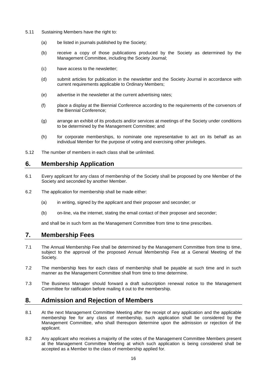- 5.11 Sustaining Members have the right to:
	- (a) be listed in journals published by the Society;
	- (b) receive a copy of those publications produced by the Society as determined by the Management Committee, including the Society Journal;
	- (c) have access to the newsletter;
	- (d) submit articles for publication in the newsletter and the Society Journal in accordance with current requirements applicable to Ordinary Members;
	- (e) advertise in the newsletter at the current advertising rates;
	- (f) place a display at the Biennial Conference according to the requirements of the convenors of the Biennial Conference;
	- (g) arrange an exhibit of its products and/or services at meetings of the Society under conditions to be determined by the Management Committee; and
	- (h) for corporate memberships, to nominate one representative to act on its behalf as an individual Member for the purpose of voting and exercising other privileges.
- 5.12 The number of members in each class shall be unlimited.

#### <span id="page-15-0"></span>**6. Membership Application**

- 6.1 Every applicant for any class of membership of the Society shall be proposed by one Member of the Society and seconded by another Member.
- 6.2 The application for membership shall be made either:
	- (a) in writing, signed by the applicant and their proposer and seconder; or
	- (b) on-line, via the internet, stating the email contact of their proposer and seconder;

and shall be in such form as the Management Committee from time to time prescribes.

#### <span id="page-15-1"></span>**7. Membership Fees**

- 7.1 The Annual Membership Fee shall be determined by the Management Committee from time to time, subject to the approval of the proposed Annual Membership Fee at a General Meeting of the Society.
- 7.2 The membership fees for each class of membership shall be payable at such time and in such manner as the Management Committee shall from time to time determine.
- 7.3 The Business Manager should forward a draft subscription renewal notice to the Management Committee for ratification before mailing it out to the membership.

#### <span id="page-15-2"></span>**8. Admission and Rejection of Members**

- 8.1 At the next Management Committee Meeting after the receipt of any application and the applicable membership fee for any class of membership, such application shall be considered by the Management Committee, who shall thereupon determine upon the admission or rejection of the applicant.
- 8.2 Any applicant who receives a majority of the votes of the Management Committee Members present at the Management Committee Meeting at which such application is being considered shall be accepted as a Member to the class of membership applied for.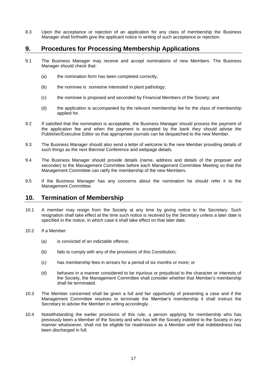8.3 Upon the acceptance or rejection of an application for any class of membership the Business Manager shall forthwith give the applicant notice in writing of such acceptance or rejection.

#### <span id="page-16-0"></span>**9. Procedures for Processing Membership Applications**

- 9.1 The Business Manager may receive and accept nominations of new Members. The Business Manager should check that:
	- (a) the nomination form has been completed correctly;
	- (b) the nominee is someone interested in plant pathology;
	- (c) the nominee is proposed and seconded by Financial Members of the Society; and
	- (d) the application is accompanied by the relevant membership fee for the class of membership applied for.
- 9.2 If satisfied that the nomination is acceptable, the Business Manager should process the payment of the application fee and when the payment is accepted by the bank they should advise the Publisher/Executive Editor so that appropriate journals can be despatched to the new Member.
- 9.3 The Business Manager should also send a letter of welcome to the new Member providing details of such things as the next Biennial Conference and webpage details.
- 9.4 The Business Manager should provide details (name, address and details of the proposer and seconder) to the Management Committee before each Management Committee Meeting so that the Management Committee can ratify the membership of the new Members.
- 9.5 If the Business Manager has any concerns about the nomination he should refer it to the Management Committee.

#### <span id="page-16-1"></span>**10. Termination of Membership**

- 10.1 A member may resign from the Society at any time by giving notice to the Secretary. Such resignation shall take effect at the time such notice is received by the Secretary unless a later date is specified in the notice, in which case it shall take effect on that later date.
- 10.2 If a Member:
	- (a) is convicted of an indictable offence;
	- (b) fails to comply with any of the provisions of this Constitution;
	- (c) has membership fees in arrears for a period of six months or more; or
	- (d) behaves in a manner considered to be injurious or prejudicial to the character or interests of the Society, the Management Committee shall consider whether that Member's membership shall be terminated.
- 10.3 The Member concerned shall be given a full and fair opportunity of presenting a case and if the Management Committee resolves to terminate the Member's membership it shall instruct the Secretary to advise the Member in writing accordingly.
- 10.4 Notwithstanding the earlier provisions of this rule, a person applying for membership who has previously been a Member of the Society and who has left the Society indebted to the Society in any manner whatsoever, shall not be eligible for readmission as a Member until that indebtedness has been discharged in full.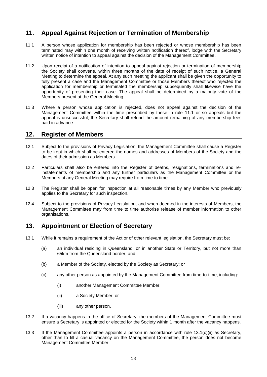# <span id="page-17-0"></span>**11. Appeal Against Rejection or Termination of Membership**

- 11.1 A person whose application for membership has been rejected or whose membership has been terminated may within one month of receiving written notification thereof, lodge with the Secretary written notice of intention to appeal against the decision of the Management Committee.
- 11.2 Upon receipt of a notification of intention to appeal against rejection or termination of membership the Society shall convene, within three months of the date of receipt of such notice, a General Meeting to determine the appeal. At any such meeting the applicant shall be given the opportunity to fully present a case and the Management Committee or those Members thereof who rejected the application for membership or terminated the membership subsequently shall likewise have the opportunity of presenting their case. The appeal shall be determined by a majority vote of the Members present at the General Meeting.
- 11.3 Where a person whose application is rejected, does not appeal against the decision of the Management Committee within the time prescribed by these in rule 11.1 or so appeals but the appeal is unsuccessful, the Secretary shall refund the amount remaining of any membership fees paid in advance.

#### <span id="page-17-1"></span>**12. Register of Members**

- 12.1 Subject to the provisions of Privacy Legislation, the Management Committee shall cause a Register to be kept in which shall be entered the names and addresses of Members of the Society and the dates of their admission as Members.
- 12.2 Particulars shall also be entered into the Register of deaths, resignations, terminations and reinstatements of membership and any further particulars as the Management Committee or the Members at any General Meeting may require from time to time.
- 12.3 The Register shall be open for inspection at all reasonable times by any Member who previously applies to the Secretary for such inspection.
- 12.4 Subject to the provisions of Privacy Legislation, and when deemed in the interests of Members, the Management Committee may from time to time authorise release of member information to other organisations.

#### <span id="page-17-2"></span>**13. Appointment or Election of Secretary**

- 13.1 While it remains a requirement of the Act or of other relevant legislation, the Secretary must be:
	- (a) an individual residing in Queensland, or in another State or Territory, but not more than 65km from the Queensland border; and
	- (b) a Member of the Society, elected by the Society as Secretary; or
	- (c) any other person as appointed by the Management Committee from time-to-time, including:
		- (i) another Management Committee Member;
		- (ii) a Society Member; or
		- (iii) any other person.
- 13.2 If a vacancy happens in the office of Secretary, the members of the Management Committee must ensure a Secretary is appointed or elected for the Society within 1 month after the vacancy happens.
- 13.3 If the Management Committee appoints a person in accordance with rule 13.1(c)(ii) as Secretary, other than to fill a casual vacancy on the Management Committee, the person does not become Management Committee Member.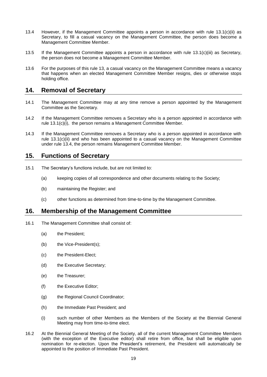- 13.4 However, if the Management Committee appoints a person in accordance with rule 13.1(c)(ii) as Secretary, to fill a casual vacancy on the Management Committee, the person does become a Management Committee Member.
- 13.5 If the Management Committee appoints a person in accordance with rule 13.1(c)(iii) as Secretary, the person does not become a Management Committee Member.
- 13.6 For the purposes of this rule 13, a casual vacancy on the Management Committee means a vacancy that happens when an elected Management Committee Member resigns, dies or otherwise stops holding office.

### <span id="page-18-0"></span>**14. Removal of Secretary**

- 14.1 The Management Committee may at any time remove a person appointed by the Management Committee as the Secretary.
- 14.2 If the Management Committee removes a Secretary who is a person appointed in accordance with rule 13.1(c)(i), the person remains a Management Committee Member.
- 14.3 If the Management Committee removes a Secretary who is a person appointed in accordance with rule 13.1(c)(ii) and who has been appointed to a casual vacancy on the Management Committee under rule 13.4, the person remains Management Committee Member.

#### <span id="page-18-1"></span>**15. Functions of Secretary**

- 15.1 The Secretary's functions include, but are not limited to:
	- (a) keeping copies of all correspondence and other documents relating to the Society;
	- (b) maintaining the Register; and
	- (c) other functions as determined from time-to-time by the Management Committee.

#### <span id="page-18-2"></span>**16. Membership of the Management Committee**

- 16.1 The Management Committee shall consist of:
	- (a) the President;
	- (b) the Vice-President(s);
	- (c) the President-Elect;
	- (d) the Executive Secretary;
	- (e) the Treasurer;
	- (f) the Executive Editor;
	- (g) the Regional Council Coordinator;
	- (h) the Immediate Past President; and
	- (i) such number of other Members as the Members of the Society at the Biennial General Meeting may from time-to-time elect.
- 16.2 At the Biennial General Meeting of the Society, all of the current Management Committee Members (with the exception of the Executive editor) shall retire from office, but shall be eligible upon nomination for re-election. Upon the President's retirement, the President will automatically be appointed to the position of Immediate Past President.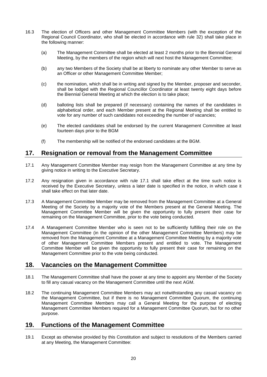- 16.3 The election of Officers and other Management Committee Members (with the exception of the Regional Council Coordinator, who shall be elected in accordance with rule 32) shall take place in the following manner:
	- (a) The Management Committee shall be elected at least 2 months prior to the Biennial General Meeting, by the members of the region which will next host the Management Committee;
	- (b) any two Members of the Society shall be at liberty to nominate any other Member to serve as an Officer or other Management Committee Member;
	- (c) the nomination, which shall be in writing and signed by the Member, proposer and seconder, shall be lodged with the Regional Councillor Coordinator at least twenty eight days before the Biennial General Meeting at which the election is to take place;
	- (d) balloting lists shall be prepared (if necessary) containing the names of the candidates in alphabetical order, and each Member present at the Regional Meeting shall be entitled to vote for any number of such candidates not exceeding the number of vacancies;
	- (e) The elected candidates shall be endorsed by the current Management Committee at least fourteen days prior to the BGM
	- (f) The membership will be notified of the endorsed candidates at the BGM.

#### <span id="page-19-0"></span>**17. Resignation or removal from the Management Committee**

- 17.1 Any Management Committee Member may resign from the Management Committee at any time by giving notice in writing to the Executive Secretary.
- 17.2 Any resignation given in accordance with rule 17.1 shall take effect at the time such notice is received by the Executive Secretary, unless a later date is specified in the notice, in which case it shall take effect on that later date.
- 17.3 A Management Committee Member may be removed from the Management Committee at a General Meeting of the Society by a majority vote of the Members present at the General Meeting. The Management Committee Member will be given the opportunity to fully present their case for remaining on the Management Committee, prior to the vote being conducted.
- 17.4 A Management Committee Member who is seen not to be sufficiently fulfilling their role on the Management Committee (in the opinion of the other Management Committee Members) may be removed from the Management Committee at a Management Committee Meeting by a majority vote of other Management Committee Members present and entitled to vote. The Management Committee Member will be given the opportunity to fully present their case for remaining on the Management Committee prior to the vote being conducted.

## <span id="page-19-1"></span>**18. Vacancies on the Management Committee**

- 18.1 The Management Committee shall have the power at any time to appoint any Member of the Society to fill any casual vacancy on the Management Committee until the next AGM.
- 18.2 The continuing Management Committee Members may act notwithstanding any casual vacancy on the Management Committee, but if there is no Management Committee Quorum, the continuing Management Committee Members may call a General Meeting for the purpose of electing Management Committee Members required for a Management Committee Quorum, but for no other purpose.

#### <span id="page-19-2"></span>**19. Functions of the Management Committee**

19.1 Except as otherwise provided by this Constitution and subject to resolutions of the Members carried at any Meeting, the Management Committee: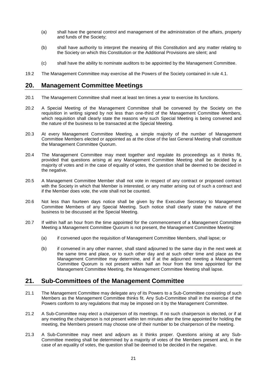- (a) shall have the general control and management of the administration of the affairs, property and funds of the Society;
- (b) shall have authority to interpret the meaning of this Constitution and any matter relating to the Society on which this Constitution or the Additional Provisions are silent; and
- (c) shall have the ability to nominate auditors to be appointed by the Management Committee.
- 19.2 The Management Committee may exercise all the Powers of the Society contained in rule 4.1.

#### <span id="page-20-0"></span>**20. Management Committee Meetings**

- 20.1 The Management Committee shall meet at least ten times a year to exercise its functions.
- 20.2 A Special Meeting of the Management Committee shall be convened by the Society on the requisition in writing signed by not less than one-third of the Management Committee Members, which requisition shall clearly state the reasons why such Special Meeting is being convened and the nature of the business to be transacted at the Special Meeting.
- 20.3 At every Management Committee Meeting, a simple majority of the number of Management Committee Members elected or appointed as at the close of the last General Meeting shall constitute the Management Committee Quorum.
- 20.4 The Management Committee may meet together and regulate its proceedings as it thinks fit, provided that questions arising at any Management Committee Meeting shall be decided by a majority of votes and in the case of equality of votes, the question shall be deemed to be decided in the negative.
- 20.5 A Management Committee Member shall not vote in respect of any contract or proposed contract with the Society in which that Member is interested, or any matter arising out of such a contract and if the Member does vote, the vote shall not be counted.
- 20.6 Not less than fourteen days notice shall be given by the Executive Secretary to Management Committee Members of any Special Meeting. Such notice shall clearly state the nature of the business to be discussed at the Special Meeting.
- 20.7 If within half an hour from the time appointed for the commencement of a Management Committee Meeting a Management Committee Quorum is not present, the Management Committee Meeting:
	- (a) if convened upon the requisition of Management Committee Members, shall lapse; or
	- (b) if convened in any other manner, shall stand adjourned to the same day in the next week at the same time and place, or to such other day and at such other time and place as the Management Committee may determine, and if at the adjourned meeting a Management Committee Quorum is not present within half an hour from the time appointed for the Management Committee Meeting, the Management Committee Meeting shall lapse.

## <span id="page-20-1"></span>**21. Sub-Committees of the Management Committee**

- 21.1 The Management Committee may delegate any of its Powers to a Sub-Committee consisting of such Members as the Management Committee thinks fit. Any Sub-Committee shall in the exercise of the Powers conform to any regulations that may be imposed on it by the Management Committee.
- 21.2 A Sub-Committee may elect a chairperson of its meetings. If no such chairperson is elected, or if at any meeting the chairperson is not present within ten minutes after the time appointed for holding the meeting, the Members present may choose one of their number to be chairperson of the meeting.
- 21.3 A Sub-Committee may meet and adjourn as it thinks proper. Questions arising at any Sub-Committee meeting shall be determined by a majority of votes of the Members present and, in the case of an equality of votes, the question shall be deemed to be decided in the negative.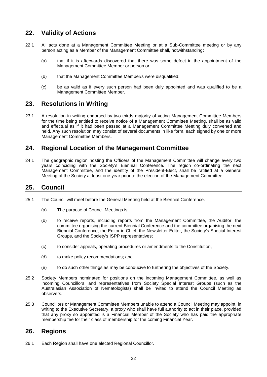## <span id="page-21-0"></span>**22. Validity of Actions**

- 22.1 All acts done at a Management Committee Meeting or at a Sub-Committee meeting or by any person acting as a Member of the Management Committee shall, notwithstanding:
	- (a) that if it is afterwards discovered that there was some defect in the appointment of the Management Committee Member or person or
	- (b) that the Management Committee Member/s were disqualified;
	- (c) be as valid as if every such person had been duly appointed and was qualified to be a Management Committee Member.

#### <span id="page-21-1"></span>**23. Resolutions in Writing**

23.1 A resolution in writing endorsed by two-thirds majority of voting Management Committee Members for the time being entitled to receive notice of a Management Committee Meeting, shall be as valid and effectual as if it had been passed at a Management Committee Meeting duly convened and held. Any such resolution may consist of several documents in like form, each signed by one or more Management Committee Members.

#### <span id="page-21-2"></span>**24. Regional Location of the Management Committee**

24.1 The geographic region hosting the Officers of the Management Committee will change every two years coinciding with the Society's Biennial Conference. The region co-ordinating the next Management Committee, and the identity of the President-Elect, shall be ratified at a General Meeting of the Society at least one year prior to the election of the Management Committee.

#### <span id="page-21-3"></span>**25. Council**

- 25.1 The Council will meet before the General Meeting held at the Biennial Conference.
	- (a) The purpose of Council Meetings is:
	- (b) to receive reports, including reports from the Management Committee, the Auditor, the committee organising the current Biennial Conference and the committee organising the next Biennial Conference, the Editor in Chief, the Newsletter Editor, the Society's Special Interest Groups, and the Society's ISPP representatives;
	- (c) to consider appeals, operating procedures or amendments to the Constitution,
	- (d) to make policy recommendations; and
	- (e) to do such other things as may be conducive to furthering the objectives of the Society.
- 25.2 Society Members nominated for positions on the incoming Management Committee, as well as incoming Councillors, and representatives from Society Special Interest Groups (such as the Australasian Association of Nematologists) shall be invited to attend the Council Meeting as observers.
- 25.3 Councillors or Management Committee Members unable to attend a Council Meeting may appoint, in writing to the Executive Secretary, a proxy who shall have full authority to act in their place, provided that any proxy so appointed is a Financial Member of the Society who has paid the appropriate membership fee for their class of membership for the coming Financial Year.

#### <span id="page-21-4"></span>**26. Regions**

26.1 Each Region shall have one elected Regional Councillor.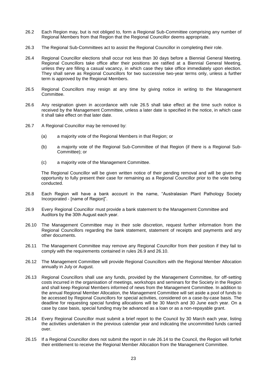- 26.2 Each Region may, but is not obliged to, form a Regional Sub-Committee comprising any number of Regional Members from that Region that the Regional Councillor deems appropriate.
- 26.3 The Regional Sub-Committees act to assist the Regional Councillor in completing their role.
- 26.4 Regional Councillor elections shall occur not less than 30 days before a Biennial General Meeting. Regional Councillors take office after their positions are ratified at a Biennial General Meeting, unless they are filling a casual vacancy, in which case they take office immediately upon election. They shall serve as Regional Councillors for two successive two-year terms only, unless a further term is approved by the Regional Members.
- 26.5 Regional Councillors may resign at any time by giving notice in writing to the Management Committee.
- 26.6 Any resignation given in accordance with rule 26.5 shall take effect at the time such notice is received by the Management Committee, unless a later date is specified in the notice, in which case it shall take effect on that later date.
- 26.7 A Regional Councillor may be removed by:
	- (a) a majority vote of the Regional Members in that Region; or
	- (b) a majority vote of the Regional Sub-Committee of that Region (if there is a Regional Sub-Committee); or
	- (c) a majority vote of the Management Committee.

The Regional Councillor will be given written notice of their pending removal and will be given the opportunity to fully present their case for remaining as a Regional Councillor prior to the vote being conducted.

- 26.8 Each Region will have a bank account in the name, "Australasian Plant Pathology Society Incorporated - [name of Region]".
- 26.9 Every Regional Councillor must provide a bank statement to the Management Committee and Auditors by the 30th August each year.
- 26.10 The Management Committee may in their sole discretion, request further information from the Regional Councillors regarding the bank statement, statement of receipts and payments and any other documents.
- 26.11 The Management Committee may remove any Regional Councillor from their position if they fail to comply with the requirements contained in rules 26.9 and 26.10.
- 26.12 The Management Committee will provide Regional Councillors with the Regional Member Allocation annually in July or August.
- 26.13 Regional Councillors shall use any funds, provided by the Management Committee, for off-setting costs incurred in the organisation of meetings, workshops and seminars for the Society in the Region and shall keep Regional Members informed of news from the Management Committee. In addition to the annual Regional Member Allocation, the Management Committee will set aside a pool of funds to be accessed by Regional Councillors for special activities, considered on a case-by-case basis. The deadline for requesting special funding allocations will be 30 March and 30 June each year. On a case by case basis, special funding may be advanced as a loan or as a non-repayable grant.
- 26.14 Every Regional Councillor must submit a brief report to the Council by 30 March each year, listing the activities undertaken in the previous calendar year and indicating the uncommitted funds carried over.
- 26.15 If a Regional Councillor does not submit the report in rule 26.14 to the Council, the Region will forfeit their entitlement to receive the Regional Member Allocation from the Management Committee.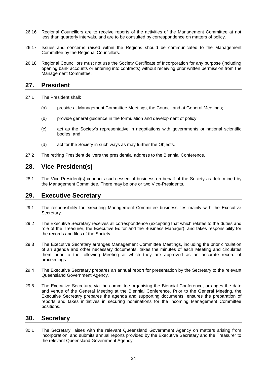- 26.16 Regional Councillors are to receive reports of the activities of the Management Committee at not less than quarterly intervals, and are to be consulted by correspondence on matters of policy.
- 26.17 Issues and concerns raised within the Regions should be communicated to the Management Committee by the Regional Councillors.
- 26.18 Regional Councillors must not use the Society Certificate of Incorporation for any purpose (including opening bank accounts or entering into contracts) without receiving prior written permission from the Management Committee.

#### <span id="page-23-0"></span>**27. President**

- 27.1 The President shall:
	- (a) preside at Management Committee Meetings, the Council and at General Meetings;
	- (b) provide general guidance in the formulation and development of policy;
	- (c) act as the Society's representative in negotiations with governments or national scientific bodies; and
	- (d) act for the Society in such ways as may further the Objects.
- 27.2 The retiring President delivers the presidential address to the Biennial Conference.

#### <span id="page-23-1"></span>**28. Vice-President(s)**

28.1 The Vice-President(s) conducts such essential business on behalf of the Society as determined by the Management Committee. There may be one or two Vice-Presidents.

#### <span id="page-23-2"></span>**29. Executive Secretary**

- 29.1 The responsibility for executing Management Committee business lies mainly with the Executive Secretary.
- 29.2 The Executive Secretary receives all correspondence (excepting that which relates to the duties and role of the Treasurer, the Executive Editor and the Business Manager), and takes responsibility for the records and files of the Society.
- 29.3 The Executive Secretary arranges Management Committee Meetings, including the prior circulation of an agenda and other necessary documents, takes the minutes of each Meeting and circulates them prior to the following Meeting at which they are approved as an accurate record of proceedings.
- 29.4 The Executive Secretary prepares an annual report for presentation by the Secretary to the relevant Queensland Government Agency.
- 29.5 The Executive Secretary, via the committee organising the Biennial Conference, arranges the date and venue of the General Meeting at the Biennial Conference. Prior to the General Meeting, the Executive Secretary prepares the agenda and supporting documents, ensures the preparation of reports and takes initiatives in securing nominations for the incoming Management Committee positions.

#### <span id="page-23-3"></span>**30. Secretary**

30.1 The Secretary liaises with the relevant Queensland Government Agency on matters arising from incorporation, and submits annual reports provided by the Executive Secretary and the Treasurer to the relevant Queensland Government Agency.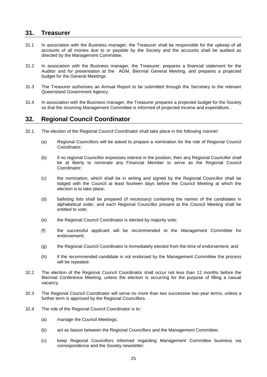#### <span id="page-24-0"></span>**31. Treasurer**

- 31.1 In association with the Business manager, the Treasurer shall be responsible for the upkeep of all accounts of all monies due to or payable by the Society and the accounts shall be audited as directed by the Management Committee.
- 31.2 In association with the Business manager, the Treasurer, prepares a financial statement for the Auditor and for presentation at the AGM, Biennial General Meeting, and prepares a projected budget for the General Meetings.
- 31.3 The Treasurer authorises an Annual Report to be submitted through the Secretary to the relevant Queensland Government Agency.
- 31.4 In association with the Business manager, the Treasurer prepares a projected budget for the Society so that the incoming Management Committee is informed of projected income and expenditure..

#### <span id="page-24-1"></span>**32. Regional Council Coordinator**

- 32.1 The election of the Regional Council Coordinator shall take place in the following manner:
	- (a) Regional Councillors will be asked to prepare a nomination for the role of Regional Council Coordinator;
	- (b) if no regional Councillor expresses interest in the position, then any Regional Councillor shall be at liberty to nominate any Financial Member to serve as the Regional Council Coordinator;
	- (c) the nomination, which shall be in writing and signed by the Regional Councillor shall be lodged with the Council at least fourteen days before the Council Meeting at which the election is to take place;
	- (d) balloting lists shall be prepared (if necessary) containing the names of the candidates in alphabetical order, and each Regional Councillor present at the Council Meeting shall be entitled to vote;
	- (e) the Regional Council Coordinator is elected by majority vote;
	- (f) the successful applicant will be recommended to the Management Committee for endorsement;
	- (g) the Regional Council Coordinator is immediately elected from the time of endorsement; and
	- (h) if the recommended candidate is not endorsed by the Management Committee the process will be repeated.
- 32.2 The election of the Regional Council Coordinator shall occur not less than 12 months before the Biennial Conference Meeting, unless the election is occurring for the purpose of filling a casual vacancy.
- 32.3 The Regional Council Coordinator will serve no more than two successive two-year terms, unless a further term is approved by the Regional Councillors.
- 32.4 The role of the Regional Council Coordinator is to:
	- (a) manage the Council Meetings;
	- (b) act as liaison between the Regional Councillors and the Management Committee;
	- (c) keep Regional Councillors informed regarding Management Committee business via correspondence and the Society newsletter;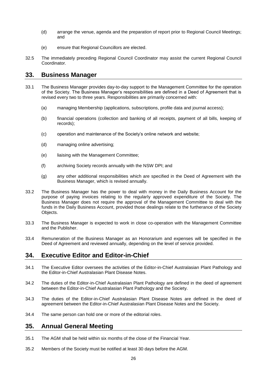- (d) arrange the venue, agenda and the preparation of report prior to Regional Council Meetings; and
- (e) ensure that Regional Councillors are elected.
- 32.5 The immediately preceding Regional Council Coordinator may assist the current Regional Council Coordinator.

#### <span id="page-25-0"></span>**33. Business Manager**

- 33.1 The Business Manager provides day-to-day support to the Management Committee for the operation of the Society. The Business Manager's responsibilities are defined in a Deed of Agreement that is revised every two to three years. Responsibilities are primarily concerned with:
	- (a) managing Membership (applications, subscriptions, profile data and journal access);
	- (b) financial operations (collection and banking of all receipts, payment of all bills, keeping of records);
	- (c) operation and maintenance of the Society's online network and website;
	- (d) managing online advertising;
	- (e) liaising with the Management Committee;
	- (f) archiving Society records annually with the NSW DPI; and
	- (g) any other additional responsibilities which are specified in the Deed of Agreement with the Business Manager, which is revised annually.
- 33.2 The Business Manager has the power to deal with money in the Daily Business Account for the purpose of paying invoices relating to the regularly approved expenditure of the Society. The Business Manager does not require the approval of the Management Committee to deal with the funds in the Daily Business Account, provided those dealings relate to the furtherance of the Society Objects.
- 33.3 The Business Manager is expected to work in close co-operation with the Management Committee and the Publisher.
- 33.4 Remuneration of the Business Manager as an Honorarium and expenses will be specified in the Deed of Agreement and reviewed annually, depending on the level of service provided.

## <span id="page-25-1"></span>**34. Executive Editor and Editor-in-Chief**

- 34.1 The Executive Editor oversees the activities of the Editor-in-Chief Australasian Plant Pathology and the Editor-in-Chief Australasian Plant Disease Notes.
- 34.2 The duties of the Editor-in-Chief Australasian Plant Pathology are defined in the deed of agreement between the Editor-in-Chief Australasian Plant Pathology and the Society.
- 34.3 The duties of the Editor-in-Chief Australasian Plant Disease Notes are defined in the deed of agreement between the Editor-in-Chief Australasian Plant Disease Notes and the Society.
- 34.4 The same person can hold one or more of the editorial roles.

## <span id="page-25-2"></span>**35. Annual General Meeting**

- 35.1 The AGM shall be held within six months of the close of the Financial Year.
- 35.2 Members of the Society must be notified at least 30 days before the AGM.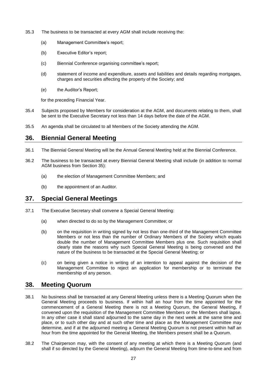- 35.3 The business to be transacted at every AGM shall include receiving the:
	- (a) Management Committee's report;
	- (b) Executive Editor's report;
	- (c) Biennial Conference organising committee's report;
	- (d) statement of income and expenditure, assets and liabilities and details regarding mortgages, charges and securities affecting the property of the Society; and
	- (e) the Auditor's Report;

for the preceding Financial Year.

- 35.4 Subjects proposed by Members for consideration at the AGM, and documents relating to them, shall be sent to the Executive Secretary not less than 14 days before the date of the AGM.
- 35.5 An agenda shall be circulated to all Members of the Society attending the AGM.

# <span id="page-26-0"></span>**36. Biennial General Meeting**

- 36.1 The Biennial General Meeting will be the Annual General Meeting held at the Biennial Conference.
- 36.2 The business to be transacted at every Biennial General Meeting shall include (in addition to normal AGM business from Section 35):
	- (a) the election of Management Committee Members; and
	- (b) the appointment of an Auditor.

## <span id="page-26-1"></span>**37. Special General Meetings**

- 37.1 The Executive Secretary shall convene a Special General Meeting:
	- (a) when directed to do so by the Management Committee; or
	- (b) on the requisition in writing signed by not less than one-third of the Management Committee Members or not less than the number of Ordinary Members of the Society which equals double the number of Management Committee Members plus one. Such requisition shall clearly state the reasons why such Special General Meeting is being convened and the nature of the business to be transacted at the Special General Meeting; or
	- (c) on being given a notice in writing of an intention to appeal against the decision of the Management Committee to reject an application for membership or to terminate the membership of any person.

## <span id="page-26-2"></span>**38. Meeting Quorum**

- 38.1 No business shall be transacted at any General Meeting unless there is a Meeting Quorum when the General Meeting proceeds to business. If within half an hour from the time appointed for the commencement of a General Meeting there is not a Meeting Quorum, the General Meeting, if convened upon the requisition of the Management Committee Members or the Members shall lapse. In any other case it shall stand adjourned to the same day in the next week at the same time and place, or to such other day and at such other time and place as the Management Committee may determine, and if at the adjourned meeting a General Meeting Quorum is not present within half an hour from the time appointed for the General Meeting, the Members present shall be a Quorum.
- 38.2 The Chairperson may, with the consent of any meeting at which there is a Meeting Quorum (and shall if so directed by the General Meeting), adjourn the General Meeting from time-to-time and from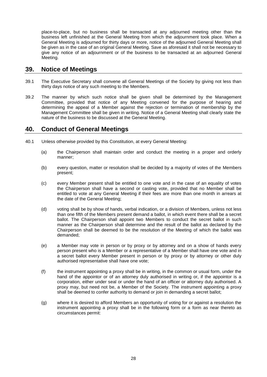place-to-place, but no business shall be transacted at any adjourned meeting other than the business left unfinished at the General Meeting from which the adjournment took place. When a General Meeting is adjourned for thirty days or more, notice of the adjourned General Meeting shall be given as in the case of an original General Meeting. Save as aforesaid it shall not be necessary to give any notice of an adjournment or of the business to be transacted at an adjourned General Meeting.

#### <span id="page-27-0"></span>**39. Notice of Meetings**

- 39.1 The Executive Secretary shall convene all General Meetings of the Society by giving not less than thirty days notice of any such meeting to the Members.
- 39.2 The manner by which such notice shall be given shall be determined by the Management Committee, provided that notice of any Meeting convened for the purpose of hearing and determining the appeal of a Member against the rejection or termination of membership by the Management Committee shall be given in writing. Notice of a General Meeting shall clearly state the nature of the business to be discussed at the General Meeting.

#### <span id="page-27-1"></span>**40. Conduct of General Meetings**

- 40.1 Unless otherwise provided by this Constitution, at every General Meeting:
	- (a) the Chairperson shall maintain order and conduct the meeting in a proper and orderly manner;
	- (b) every question, matter or resolution shall be decided by a majority of votes of the Members present;
	- (c) every Member present shall be entitled to one vote and in the case of an equality of votes the Chairperson shall have a second or casting vote, provided that no Member shall be entitled to vote at any General Meeting if their fees are more than one month in arrears at the date of the General Meeting;
	- (d) voting shall be by show of hands, verbal indication, or a division of Members, unless not less than one fifth of the Members present demand a ballot, in which event there shall be a secret ballot. The Chairperson shall appoint two Members to conduct the secret ballot in such manner as the Chairperson shall determine and the result of the ballot as declared by the Chairperson shall be deemed to be the resolution of the Meeting of which the ballot was demanded;
	- (e) a Member may vote in person or by proxy or by attorney and on a show of hands every person present who is a Member or a representative of a Member shall have one vote and in a secret ballot every Member present in person or by proxy or by attorney or other duly authorised representative shall have one vote;
	- (f) the instrument appointing a proxy shall be in writing, in the common or usual form, under the hand of the appointor or of an attorney duly authorised in writing or, if the appointor is a corporation, either under seal or under the hand of an officer or attorney duly authorised. A proxy may, but need not be, a Member of the Society. The instrument appointing a proxy shall be deemed to confer authority to demand or join in demanding a secret ballot;
	- (g) where it is desired to afford Members an opportunity of voting for or against a resolution the instrument appointing a proxy shall be in the following form or a form as near thereto as circumstances permit: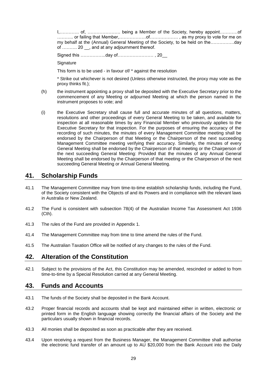I,…………. of, …………………. being a Member of the Society, hereby appoint…………of ……….. or failing that Member,………………of………………. , as my proxy to vote for me on my behalf at the (Annual) General Meeting of the Society, to be held on the…………….day of .......... 20 \_, and at any adjournment thereof.

Signed this ……………..day of…………………… , 20\_\_

**Signature** 

This form is to be used - in favour of/ \* against the resolution

\* Strike out whichever is not desired (Unless otherwise instructed, the proxy may vote as the proxy thinks fit.);

- (h) the instrument appointing a proxy shall be deposited with the Executive Secretary prior to the commencement of any Meeting or adjourned Meeting at which the person named in the instrument proposes to vote; and
- (i) the Executive Secretary shall cause full and accurate minutes of all questions, matters, resolutions and other proceedings of every General Meeting to be taken, and available for inspection at all reasonable times by any Financial Member who previously applies to the Executive Secretary for that inspection. For the purposes of ensuring the accuracy of the recording of such minutes, the minutes of every Management Committee meeting shall be endorsed by the Chairperson of that Meeting or the Chairperson of the next succeeding Management Committee meeting verifying their accuracy. Similarly, the minutes of every General Meeting shall be endorsed by the Chairperson of that meeting or the Chairperson of the next succeeding General Meeting: Provided that the minutes of any Annual General Meeting shall be endorsed by the Chairperson of that meeting or the Chairperson of the next succeeding General Meeting or Annual General Meeting.

#### <span id="page-28-0"></span>**41. Scholarship Funds**

- 41.1 The Management Committee may from time-to-time establish scholarship funds, including the Fund, of the Society consistent with the Objects of and its Powers and in compliance with the relevant laws in Australia or New Zealand.
- 41.2 The Fund is consistent with subsection 78(4) of the Australian Income Tax Assessment Act 1936 (Cth).
- 41.3 The rules of the Fund are provided in Appendix 1.
- 41.4 The Management Committee may from time to time amend the rules of the Fund.
- 41.5 The Australian Taxation Office will be notified of any changes to the rules of the Fund.

## <span id="page-28-1"></span>**42. Alteration of the Constitution**

42.1 Subject to the provisions of the Act, this Constitution may be amended, rescinded or added to from time-to-time by a Special Resolution carried at any General Meeting.

#### <span id="page-28-2"></span>**43. Funds and Accounts**

- 43.1 The funds of the Society shall be deposited in the Bank Account.
- 43.2 Proper financial records and accounts shall be kept and maintained either in written, electronic or printed form in the English language showing correctly the financial affairs of the Society and the particulars usually shown in financial records.
- 43.3 All monies shall be deposited as soon as practicable after they are received.
- 43.4 Upon receiving a request from the Business Manager, the Management Committee shall authorise the electronic fund transfer of an amount up to AU \$20,000 from the Bank Account into the Daily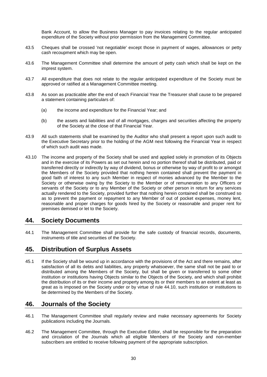Bank Account, to allow the Business Manager to pay invoices relating to the regular anticipated expenditure of the Society without prior permission from the Management Committee.

- 43.5 Cheques shall be crossed 'not negotiable' except those in payment of wages, allowances or petty cash recoupment which may be open.
- 43.6 The Management Committee shall determine the amount of petty cash which shall be kept on the imprest system.
- 43.7 All expenditure that does not relate to the regular anticipated expenditure of the Society must be approved or ratified at a Management Committee meeting.
- 43.8 As soon as practicable after the end of each Financial Year the Treasurer shall cause to be prepared a statement containing particulars of:
	- (a) the income and expenditure for the Financial Year; and
	- (b) the assets and liabilities and of all mortgages, charges and securities affecting the property of the Society at the close of that Financial Year.
- 43.9 All such statements shall be examined by the Auditor who shall present a report upon such audit to the Executive Secretary prior to the holding of the AGM next following the Financial Year in respect of which such audit was made.
- 43.10 The income and property of the Society shall be used and applied solely in promotion of its Objects and in the exercise of its Powers as set out herein and no portion thereof shall be distributed, paid or transferred directly or indirectly by way of dividend, bonus or otherwise by way of profit to or amongst the Members of the Society provided that nothing herein contained shall prevent the payment in good faith of interest to any such Member in respect of monies advanced by the Member to the Society or otherwise owing by the Society to the Member or of remuneration to any Officers or servants of the Society or to any Member of the Society or other person in return for any services actually rendered to the Society, provided further that nothing herein contained shall be construed so as to prevent the payment or repayment to any Member of out of pocket expenses, money lent, reasonable and proper charges for goods hired by the Society or reasonable and proper rent for premises demised or let to the Society.

#### <span id="page-29-0"></span>**44. Society Documents**

44.1 The Management Committee shall provide for the safe custody of financial records, documents, instruments of title and securities of the Society.

## <span id="page-29-1"></span>**45. Distribution of Surplus Assets**

45.1 If the Society shall be wound up in accordance with the provisions of the Act and there remains, after satisfaction of all its debts and liabilities, any property whatsoever, the same shall not be paid to or distributed among the Members of the Society, but shall be given or transferred to some other institution or institutions having Objects similar to the Objects of the Society, and which shall prohibit the distribution of its or their income and property among its or their members to an extent at least as great as is imposed on the Society under or by virtue of rule 44.10, such institution or institutions to be determined by the Members of the Society.

#### <span id="page-29-2"></span>**46. Journals of the Society**

- 46.1 The Management Committee shall regularly review and make necessary agreements for Society publications including the Journals.
- 46.2 The Management Committee, through the Executive Editor, shall be responsible for the preparation and circulation of the Journals which all eligible Members of the Society and non-member subscribers are entitled to receive following payment of the appropriate subscription.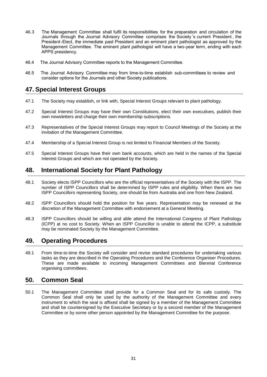- 46.3 The Management Committee shall fulfil its responsibilities for the preparation and circulation of the Journals through the Journal Advisory Committee comprises the Society 's current President , the President-Elect, the immediate past President and an eminent plant pathologist as approved by the Management Committee. The eminent plant pathologist will have a two-year term, ending with each APPS presidency.
- <span id="page-30-0"></span>46.4 The Journal Advisory Committee reports to the Management Committee.
- 46.5 The Journal Advisory Committee may from time-to-time establish sub-committees to review and consider options for the Journals and other Society publications.

## **47. Special Interest Groups**

- 47.1 The Society may establish, or link with, Special Interest Groups relevant to plant pathology.
- 47.2 Special Interest Groups may have their own Constitutions, elect their own executives, publish their own newsletters and charge their own membership subscriptions.
- <span id="page-30-1"></span>47.3 Representatives of the Special Interest Groups may report to Council Meetings of the Society at the invitation of the Management Committee.
- 47.4 Membership of a Special Interest Group is not limited to Financial Members of the Society.
- 47.5 Special Interest Groups have their own bank accounts, which are held in the names of the Special Interest Groups and which are not operated by the Society.

## **48. International Society for Plant Pathology**

- 48.1 Society elects ISPP Councillors who are the official representatives of the Society with the ISPP. The number of ISPP Councillors shall be determined by ISPP rules and eligibility. When there are two ISPP Councillors representing Society, one should be from Australia and one from New Zealand.
- <span id="page-30-2"></span>48.2 ISPP Councillors should hold the position for five years. Representation may be renewed at the discretion of the Management Committee with endorsement at a General Meeting.
- 48.3 ISPP Councillors should be willing and able attend the International Congress of Plant Pathology (ICPP) at no cost to Society. When an ISPP Councillor is unable to attend the ICPP, a substitute may be nominated Society by the Management Committee.

## <span id="page-30-3"></span>**49. Operating Procedures**

49.1 From time-to-time the Society will consider and revise standard procedures for undertaking various tasks as they are described in the Operating Procedures and the Conference Organiser Procedures. These are made available to incoming Management Committees and Biennial Conference organising committees.

#### **50. Common Seal**

50.1 The Management Committee shall provide for a Common Seal and for its safe custody. The Common Seal shall only be used by the authority of the Management Committee and every instrument to which the seal is affixed shall be signed by a member of the Management Committee and shall be countersigned by the Executive Secretary or by a second member of the Management Committee or by some other person appointed by the Management Committee for the purpose.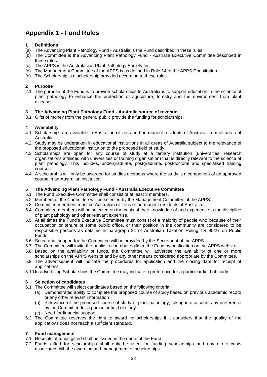# <span id="page-31-0"></span>**Appendix 1 - Fund Rules**

#### **1 Definitions**

- (a) The Advancing Plant Pathology Fund Australia is the Fund described in these rules.
- (b) The Committee is the Advancing Plant Pathology Fund Australia Executive Committee described in these rules.
- (c) The APPS is the Australasian Plant Pathology Society Inc.
- (d) The Management Committee of the APPS is as defined in Rule 14 of the APPS Constitution.
- (e) The Scholarship is a scholarship provided according to these rules.

#### **2 Purpose**

2.1 The purpose of the Fund is to provide scholarships to Australians to support education in the science of plant pathology to enhance the protection of agriculture, forestry and the environment from plant diseases.

#### **3 The Advancing Plant Pathology Fund - Australia source of revenue**

3.1 Gifts of money from the general public provide the funding for scholarships.

#### **4 Availability**

- 4.1 Scholarships are available to Australian citizens and permanent residents of Australia from all areas of Australia.
- 4.2 Study may be undertaken in educational institutions in all areas of Australia subject to the relevance of the proposed educational institution to the proposed field of study.
- 4.3 Scholarships are open for any course of study at a tertiary institution (universities, research organisations affiliated with universities or training organisation) that is directly relevant to the science of plant pathology. This includes, undergraduate, postgraduate, postdoctoral and specialised training courses.
- 4.4 A scholarship will only be awarded for studies overseas where the study is a component of an approved course in an Australian institution.

#### **5 The Advancing Plant Pathology Fund - Australia Executive Committee**

- 5.1 The Fund Executive Committee shall consist of at least 3 members.
- 5.2 Members of the Committee will be selected by the Management Committee of the APPS.
- 5.3 Committee members must be Australian citizens or permanent residents of Australia.
- 5.4 Committee members will be selected on the basis of their knowledge of and experience in the discipline of plant pathology and other relevant expertise.
- 5.5 At all times the Fund's Executive Committee must consist of a majority of people who because of their occupation or tenure of some public office, or their position in the community are considered to be responsible persons as detailed in paragraph 21 of Australian Taxation Ruling TR 95/27 on Public Funds.
- 5.6 Secretariat support for the Committee will be provided by the Secretariat of the APPS.
- 5.7 The Committee will invite the public to contribute gifts to the Fund by notification on the APPS website.
- 5.8 Based on the availability of funds, the Committee will advertise the availability of one or more scholarships on the APPS website and by any other means considered appropriate by the Committee.
- 5.9 The advertisement will indicate the procedures for application and the closing date for receipt of applications.
- 5.10 In advertising Scholarships the Committee may indicate a preference for a particular field of study.

#### **6 Selection of candidates**

- 6.1 The Committee will select candidates based on the following criteria:
	- (a) Demonstrated ability to complete the proposed course of study based on previous academic record or any other relevant information
	- (b) Relevance of the proposed course of study of plant pathology, taking into account any preference by the Committee for a particular field of study.
	- (c) Need for financial support.
- 6.2 The Committee reserves the right to award no scholarships if it considers that the quality of the applications does not reach a sufficient standard.

#### **7 Fund management**

- 7.1 Receipts of funds gifted shall be issued in the name of the Fund.
- 7.2 Funds gifted for scholarships shall only be used for funding scholarships and any direct costs associated with the awarding and management of scholarships.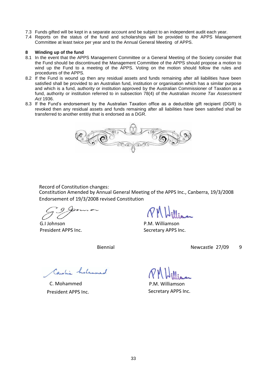- 7.3 Funds gifted will be kept in a separate account and be subject to an independent audit each year.
- 7.4 Reports on the status of the fund and scholarships will be provided to the APPS Management Committee at least twice per year and to the Annual General Meeting of APPS.

#### **8 Winding up of the fund**

- 8.1 In the event that the APPS Management Committee or a General Meeting of the Society consider that the Fund should be discontinued the Management Committee of the APPS should propose a motion to wind up the Fund to a meeting of the APPS. Voting on the motion should follow the rules and procedures of the APPS.
- 8.2 If the Fund is wound up then any residual assets and funds remaining after all liabilities have been satisfied shall be provided to an Australian fund, institution or organisation which has a similar purpose and which is a fund, authority or institution approved by the Australian Commissioner of Taxation as a fund, authority or institution referred to in subsection 78(4) of the Australian *Income Tax Assessment Act* 1936.
- 8.3 If the Fund's endorsement by the Australian Taxation office as a deductible gift recipient (DGR) is revoked then any residual assets and funds remaining after all liabilities have been satisfied shall be transferred to another entitiy that is endorsed as a DGR.



Record of Constitution changes:

Constitution Amended by Annual General Meeting of the APPS Inc., Canberra, 19/3/2008 Endorsement of 19/3/2008 revised Constitution

G.I Johnson P.M. Williamson

President APPS Inc. Secretary APPS Inc.

ConstitutionAmendedby Biennial GeneralMeeting of the APPSnc, Newcastle, 27/09/2009 Endorsementof 19/3/2008revisedConstitution

Caroline histornmed

C. Mohammed P.M. Williamson

President APPS Inc. Secretary APPS Inc.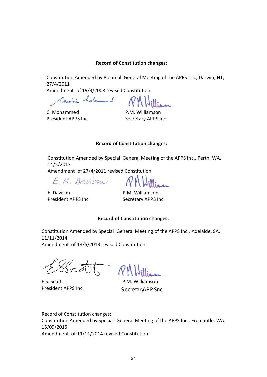#### **Record of Constitution changes:**

Constitution Amended by Biennial General Meeting of the APPS Inc., Darwin, NT, 27/4/2011

Amendment of 19/3/2008 revised Constitution

Caroline histornmed

C. Mohammed P.M. Williamson President APPS Inc. Secretary APPS Inc.

#### **Record of Constitution changes:**

Constitution Amended by Special General Meeting of the APPS Inc., Perth, WA, 14/5/2013

Amendment of 27/4/2011 revised Constitution

E.M. Danson

E. Davison P.M. Williamson

President APPS Inc. Secretary APPS Inc.

#### **Record of Constitution changes:**

Constitution Amended by Special General Meeting of the APPS Inc., Adelaide, SA, 11/11/2014 Amendment of 14/5/2013 revised Constitution

z F

E.S. Scott P.M. Williamson President APPS Inc.

Secret&PPSInc

Constitution Amended by Special General Meeting of the APPS Inc., Fremantle, WA 15/09/2015 Amendment of 11/11/2014 revised Constitution Record of Constitution changes: